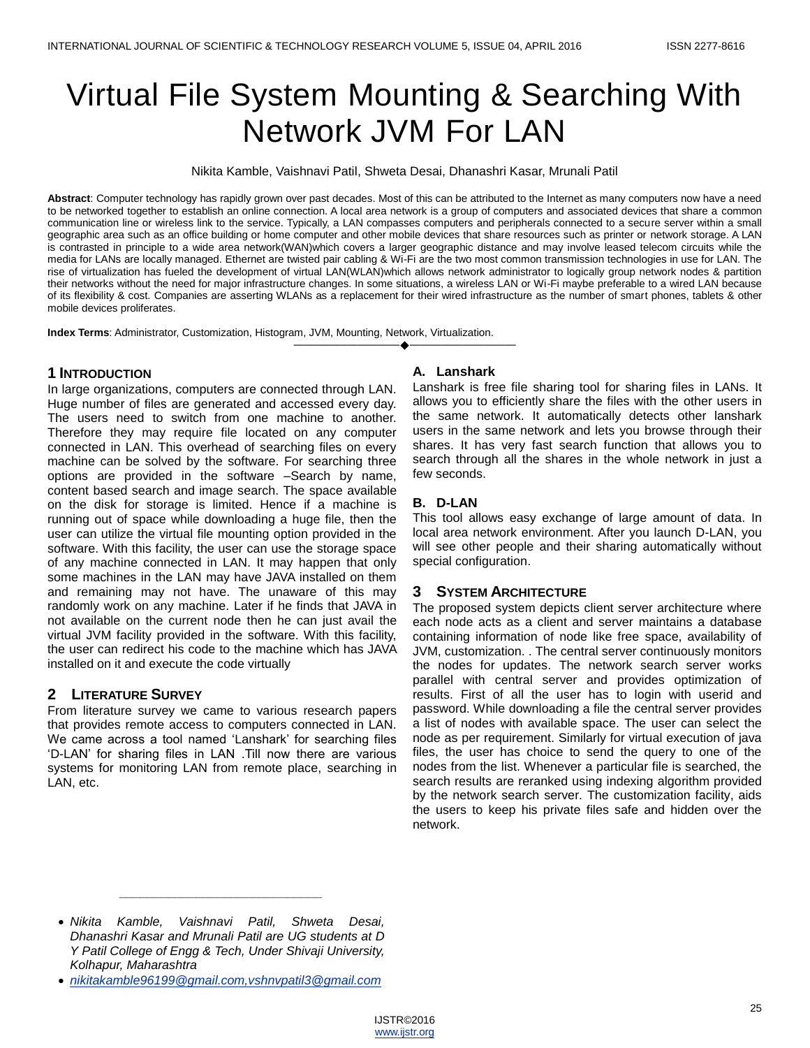# Virtual File System Mounting & Searching With Network JVM For LAN

Nikita Kamble, Vaishnavi Patil, Shweta Desai, Dhanashri Kasar, Mrunali Patil

**Abstract**: Computer technology has rapidly grown over past decades. Most of this can be attributed to the Internet as many computers now have a need to be networked together to establish an online connection. A local area network is a group of computers and associated devices that share a common communication line or wireless link to the service. Typically, a LAN compasses computers and peripherals connected to a secure server within a small geographic area such as an office building or home computer and other mobile devices that share resources such as printer or network storage. A LAN is contrasted in principle to a wide area network(WAN)which covers a larger geographic distance and may involve leased telecom circuits while the media for LANs are locally managed. Ethernet are twisted pair cabling & Wi-Fi are the two most common transmission technologies in use for LAN. The rise of virtualization has fueled the development of virtual LAN(WLAN)which allows network administrator to logically group network nodes & partition their networks without the need for major infrastructure changes. In some situations, a wireless LAN or Wi-Fi maybe preferable to a wired LAN because of its flexibility & cost. Companies are asserting WLANs as a replacement for their wired infrastructure as the number of smart phones, tablets & other mobile devices proliferates.

————————————————————

**Index Terms**: Administrator, Customization, Histogram, JVM, Mounting, Network, Virtualization.

## **1 INTRODUCTION**

In large organizations, computers are connected through LAN. Huge number of files are generated and accessed every day. The users need to switch from one machine to another. Therefore they may require file located on any computer connected in LAN. This overhead of searching files on every machine can be solved by the software. For searching three options are provided in the software –Search by name, content based search and image search. The space available on the disk for storage is limited. Hence if a machine is running out of space while downloading a huge file, then the user can utilize the virtual file mounting option provided in the software. With this facility, the user can use the storage space of any machine connected in LAN. It may happen that only some machines in the LAN may have JAVA installed on them and remaining may not have. The unaware of this may randomly work on any machine. Later if he finds that JAVA in not available on the current node then he can just avail the virtual JVM facility provided in the software. With this facility, the user can redirect his code to the machine which has JAVA installed on it and execute the code virtually

## **2 LITERATURE SURVEY**

From literature survey we came to various research papers that provides remote access to computers connected in LAN. We came across a tool named 'Lanshark' for searching files ‗D-LAN' for sharing files in LAN .Till now there are various systems for monitoring LAN from remote place, searching in LAN, etc.

#### **A. Lanshark**

Lanshark is free file sharing tool for sharing files in LANs. It allows you to efficiently share the files with the other users in the same network. It automatically detects other lanshark users in the same network and lets you browse through their shares. It has very fast search function that allows you to search through all the shares in the whole network in just a few seconds.

#### **B. D-LAN**

This tool allows easy exchange of large amount of data. In local area network environment. After you launch D-LAN, you will see other people and their sharing automatically without special configuration.

## **3 SYSTEM ARCHITECTURE**

The proposed system depicts client server architecture where each node acts as a client and server maintains a database containing information of node like free space, availability of JVM, customization. . The central server continuously monitors the nodes for updates. The network search server works parallel with central server and provides optimization of results. First of all the user has to login with userid and password. While downloading a file the central server provides a list of nodes with available space. The user can select the node as per requirement. Similarly for virtual execution of java files, the user has choice to send the query to one of the nodes from the list. Whenever a particular file is searched, the search results are reranked using indexing algorithm provided by the network search server. The customization facility, aids the users to keep his private files safe and hidden over the network.

*\_\_\_\_\_\_\_\_\_\_\_\_\_\_\_\_\_\_\_\_\_\_\_\_\_\_\_\_\_*

*Nikita Kamble, Vaishnavi Patil, Shweta Desai, Dhanashri Kasar and Mrunali Patil are UG students at D Y Patil College of Engg & Tech, Under Shivaji University, Kolhapur, Maharashtra*

*[nikitakamble96199@gmail.com,vshnvpatil3@gmail.com](mailto:nikitakamble96199@gmail.com,vshnvpatil3@gmail.com)*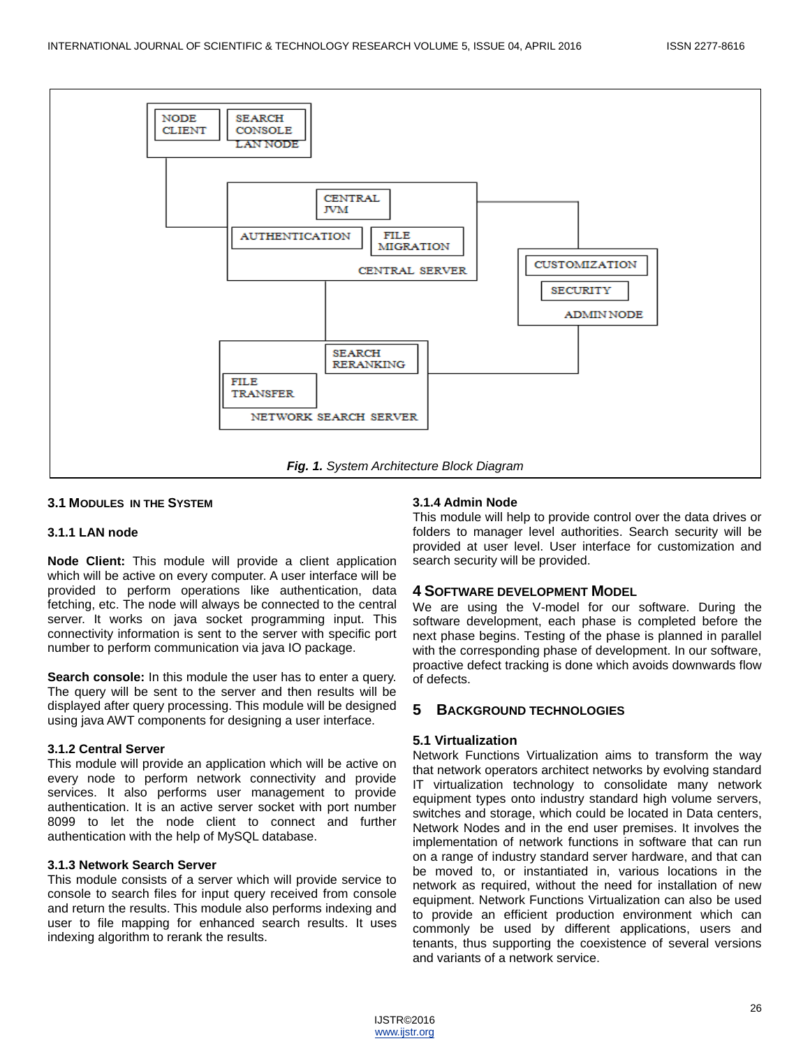

#### **3.1 MODULES IN THE SYSTEM**

#### **3.1.1 LAN node**

**Node Client:** This module will provide a client application which will be active on every computer. A user interface will be provided to perform operations like authentication, data fetching, etc. The node will always be connected to the central server. It works on java socket programming input. This connectivity information is sent to the server with specific port number to perform communication via java IO package.

**Search console:** In this module the user has to enter a query. The query will be sent to the server and then results will be displayed after query processing. This module will be designed using java AWT components for designing a user interface.

#### **3.1.2 Central Server**

This module will provide an application which will be active on every node to perform network connectivity and provide services. It also performs user management to provide authentication. It is an active server socket with port number 8099 to let the node client to connect and further authentication with the help of MySQL database.

#### **3.1.3 Network Search Server**

This module consists of a server which will provide service to console to search files for input query received from console and return the results. This module also performs indexing and user to file mapping for enhanced search results. It uses indexing algorithm to rerank the results.

#### **3.1.4 Admin Node**

This module will help to provide control over the data drives or folders to manager level authorities. Search security will be provided at user level. User interface for customization and search security will be provided.

#### **4 SOFTWARE DEVELOPMENT MODEL**

We are using the V-model for our software. During the software development, each phase is completed before the next phase begins. Testing of the phase is planned in parallel with the corresponding phase of development. In our software, proactive defect tracking is done which avoids downwards flow of defects.

## **5 BACKGROUND TECHNOLOGIES**

#### **5.1 Virtualization**

Network Functions Virtualization aims to transform the way that network operators architect networks by evolving standard IT virtualization technology to consolidate many network equipment types onto industry standard high volume servers, switches and storage, which could be located in Data centers, Network Nodes and in the end user premises. It involves the implementation of network functions in software that can run on a range of industry standard server hardware, and that can be moved to, or instantiated in, various locations in the network as required, without the need for installation of new equipment. Network Functions Virtualization can also be used to provide an efficient production environment which can commonly be used by different applications, users and tenants, thus supporting the coexistence of several versions and variants of a network service.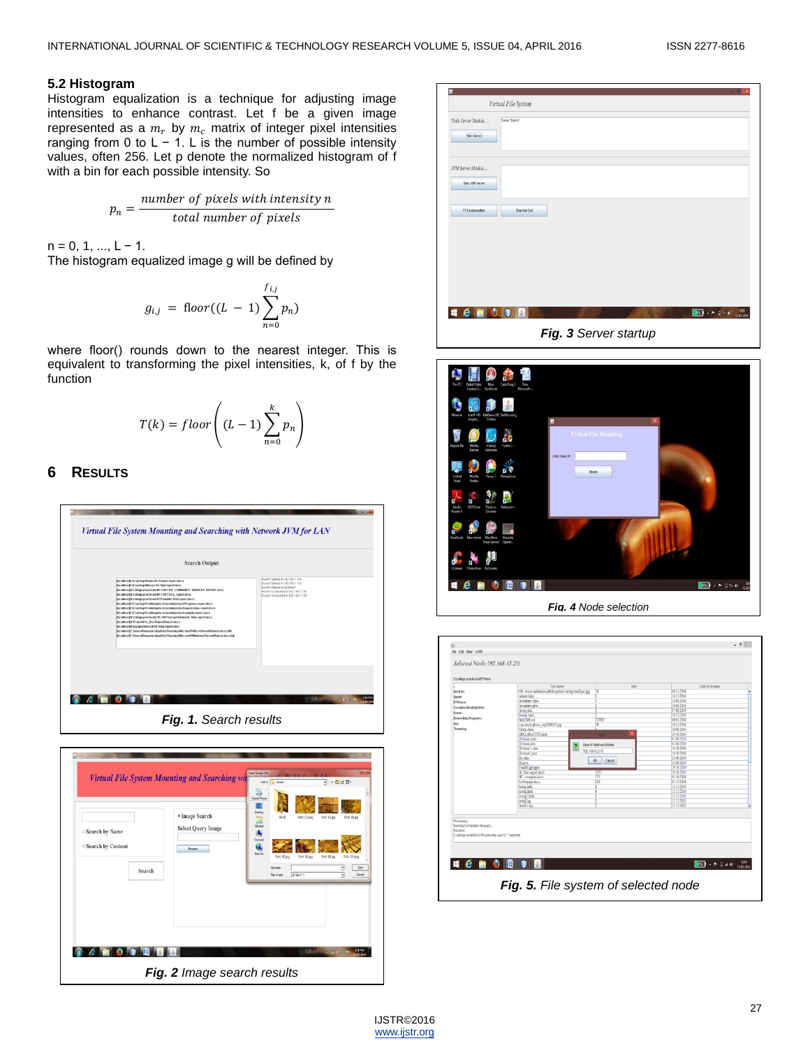### **5.2 Histogram**

Histogram equalization is a technique for adjusting image intensities to enhance contrast. Let f be a given image represented as a  $m_r$  by  $m_c$  matrix of integer pixel intensities ranging from 0 to  $L - 1$ . L is the number of possible intensity values, often 256. Let p denote the normalized histogram of f with a bin for each possible intensity. So

$$
p_n = \frac{number\ of\ pixels\ with\ intensity\ n}{total\ number\ of\ pixels}
$$

 $n = 0, 1, ..., L - 1$ .

The histogram equalized image g will be defined by

$$
g_{i,j} = \text{floor}((L-1)\sum_{n=0}^{f_{i,j}} p_n)
$$

where floor() rounds down to the nearest integer. This is equivalent to transforming the pixel intensities, k, of f by the function

$$
T(k) = floor\left((L-1)\sum_{n=0}^{k} p_n\right)
$$

# **6 RESULTS**





| Virtual File System                                          |                       |                                     |
|--------------------------------------------------------------|-----------------------|-------------------------------------|
| Node Server Module<br>Server Startedt<br><b>Start Server</b> |                       |                                     |
| JVM Server Module<br>Start JVII Server                       |                       |                                     |
| <b>FS Customization</b><br>Stop And Exit                     |                       |                                     |
|                                                              |                       |                                     |
|                                                              |                       |                                     |
| $\bullet$<br>$\bullet$ $\bullet$ $\bullet$<br>區              |                       | 1345<br>12:03-2016<br>第61 - 图 81 46 |
|                                                              | Fig. 3 Server startup |                                     |



 $\sim$  0  $^{-1}$ -<br>Fle Edit Vew vJVII Selected Node: 192.168.43.210 **Hemoria**  $288$   $\rightarrow$  P  $2$  at 0  $\frac{1351}{1203206}$ *Fig. 5. File system of selected node*